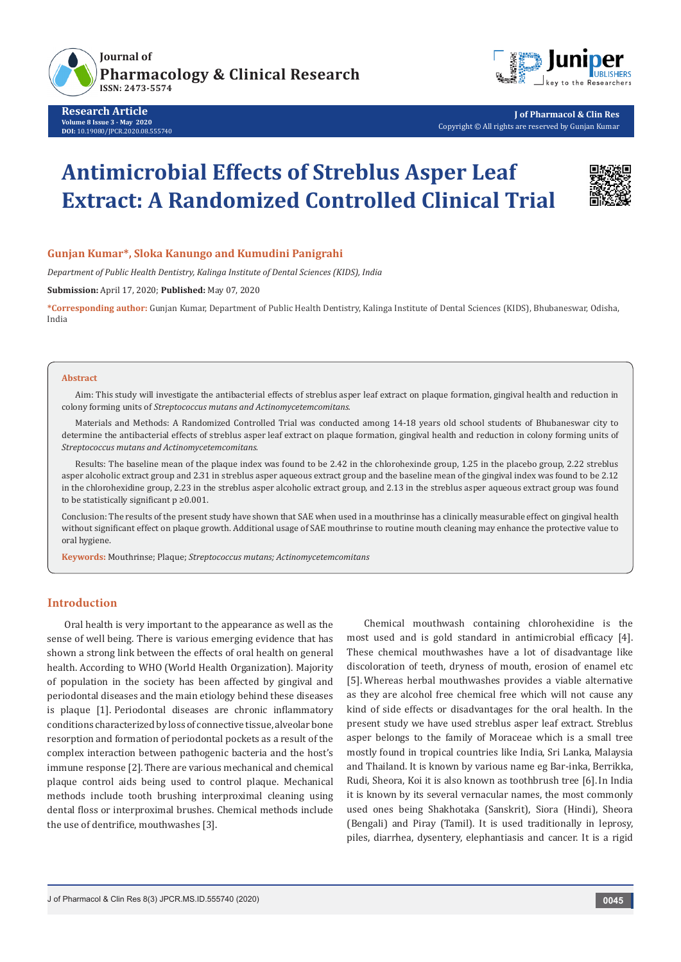

**Research Article Volume 8 Issue 3 - May 2020 DOI:** [10.19080/JPCR.2020.08.5557](http://dx.doi.org/10.19080/JPCR.2019.08.555740)40



**J of Pharmacol & Clin Res** Copyright © All rights are reserved by Gunjan Kumar

# **Antimicrobial Effects of Streblus Asper Leaf Extract: A Randomized Controlled Clinical Trial**



# **Gunjan Kumar\*, Sloka Kanungo and Kumudini Panigrahi**

*Department of Public Health Dentistry, Kalinga Institute of Dental Sciences (KIDS), India*

**Submission:** April 17, 2020; **Published:** May 07, 2020

**\*Corresponding author:** Gunjan Kumar, Department of Public Health Dentistry, Kalinga Institute of Dental Sciences (KIDS), Bhubaneswar, Odisha, India

#### **Abstract**

Aim: This study will investigate the antibacterial effects of streblus asper leaf extract on plaque formation, gingival health and reduction in colony forming units of *Streptococcus mutans and Actinomycetemcomitans.*

Materials and Methods: A Randomized Controlled Trial was conducted among 14-18 years old school students of Bhubaneswar city to determine the antibacterial effects of streblus asper leaf extract on plaque formation, gingival health and reduction in colony forming units of *Streptococcus mutans and Actinomycetemcomitans.*

Results: The baseline mean of the plaque index was found to be 2.42 in the chlorohexinde group, 1.25 in the placebo group, 2.22 streblus asper alcoholic extract group and 2.31 in streblus asper aqueous extract group and the baseline mean of the gingival index was found to be 2.12 in the chlorohexidine group, 2.23 in the streblus asper alcoholic extract group, and 2.13 in the streblus asper aqueous extract group was found to be statistically significant  $p \ge 0.001$ .

Conclusion: The results of the present study have shown that SAE when used in a mouthrinse has a clinically measurable effect on gingival health without significant effect on plaque growth. Additional usage of SAE mouthrinse to routine mouth cleaning may enhance the protective value to oral hygiene.

**Keywords:** Mouthrinse; Plaque; *Streptococcus mutans; Actinomycetemcomitans*

## **Introduction**

Oral health is very important to the appearance as well as the sense of well being. There is various emerging evidence that has shown a strong link between the effects of oral health on general health. According to WHO (World Health Organization). Majority of population in the society has been affected by gingival and periodontal diseases and the main etiology behind these diseases is plaque [1]. Periodontal diseases are chronic inflammatory conditions characterized by loss of connective tissue, alveolar bone resorption and formation of periodontal pockets as a result of the complex interaction between pathogenic bacteria and the host's immune response [2].There are various mechanical and chemical plaque control aids being used to control plaque. Mechanical methods include tooth brushing interproximal cleaning using dental floss or interproximal brushes. Chemical methods include the use of dentrifice, mouthwashes [3].

Chemical mouthwash containing chlorohexidine is the most used and is gold standard in antimicrobial efficacy [4]. These chemical mouthwashes have a lot of disadvantage like discoloration of teeth, dryness of mouth, erosion of enamel etc [5]. Whereas herbal mouthwashes provides a viable alternative as they are alcohol free chemical free which will not cause any kind of side effects or disadvantages for the oral health. In the present study we have used streblus asper leaf extract. Streblus asper belongs to the family of Moraceae which is a small tree mostly found in tropical countries like India, Sri Lanka, Malaysia and Thailand. It is known by various name eg Bar-inka, Berrikka, Rudi, Sheora, Koi it is also known as toothbrush tree [6].In India it is known by its several vernacular names, the most commonly used ones being Shakhotaka (Sanskrit), Siora (Hindi), Sheora (Bengali) and Piray (Tamil). It is used traditionally in leprosy, piles, diarrhea, dysentery, elephantiasis and cancer. It is a rigid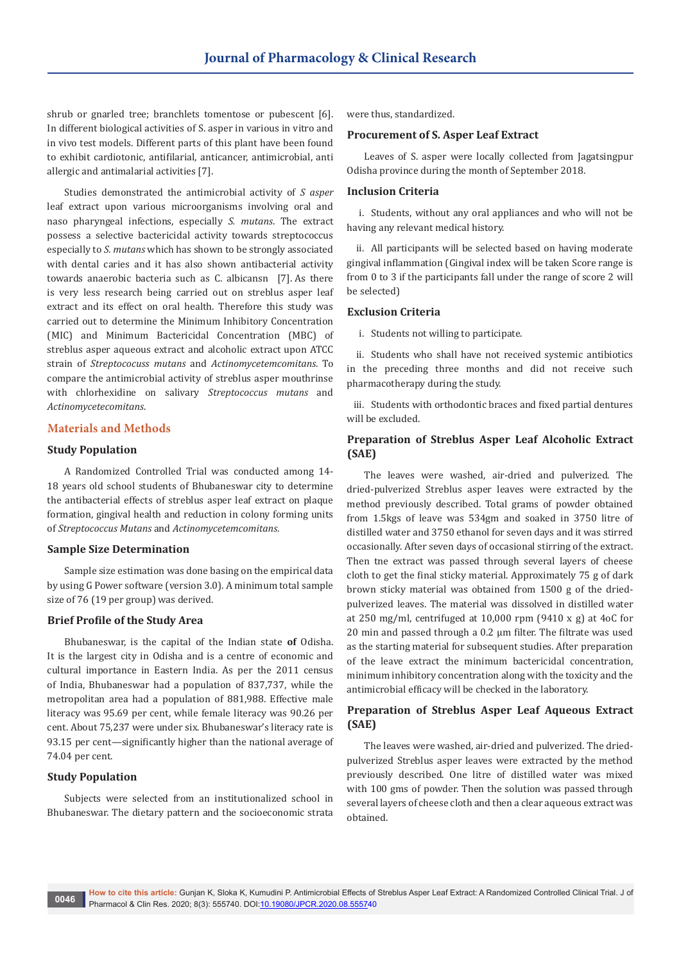shrub or gnarled tree; branchlets tomentose or pubescent [6]. In different biological activities of S. asper in various in vitro and in vivo test models. Different parts of this plant have been found to exhibit cardiotonic, antifilarial, anticancer, antimicrobial, anti allergic and antimalarial activities [7].

Studies demonstrated the antimicrobial activity of *S asper* leaf extract upon various microorganisms involving oral and naso pharyngeal infections, especially *S. mutans*. The extract possess a selective bactericidal activity towards streptococcus especially to *S. mutans* which has shown to be strongly associated with dental caries and it has also shown antibacterial activity towards anaerobic bacteria such as C. albicansn [7]. As there is very less research being carried out on streblus asper leaf extract and its effect on oral health. Therefore this study was carried out to determine the Minimum Inhibitory Concentration (MIC) and Minimum Bactericidal Concentration (MBC) of streblus asper aqueous extract and alcoholic extract upon ATCC strain of *Streptococuss mutans* and *Actinomycetemcomitans*. To compare the antimicrobial activity of streblus asper mouthrinse with chlorhexidine on salivary *Streptococcus mutans* and *Actinomycetecomitans*.

#### **Materials and Methods**

#### **Study Population**

A Randomized Controlled Trial was conducted among 14- 18 years old school students of Bhubaneswar city to determine the antibacterial effects of streblus asper leaf extract on plaque formation, gingival health and reduction in colony forming units of *Streptococcus Mutans* and *Actinomycetemcomitans*.

## **Sample Size Determination**

Sample size estimation was done basing on the empirical data by using G Power software (version 3.0). A minimum total sample size of 76 (19 per group) was derived.

#### **Brief Profile of the Study Area**

Bhubaneswar, is the capital of the [Indian state](https://en.wikipedia.org/wiki/States_and_territories_of_India) **of** [Odisha.](https://en.wikipedia.org/wiki/Odisha) It is the largest city in Odisha and is a centre of economic and cultural importance in [Eastern India.](https://en.wikipedia.org/wiki/East_India) As per the [2011 census](https://en.wikipedia.org/wiki/2011_census_of_India)  [of India](https://en.wikipedia.org/wiki/2011_census_of_India), Bhubaneswar had a population of 837,737, while the metropolitan area had a population of 881,988. Effective male literacy was 95.69 per cent, while female literacy was 90.26 per cent. About 75,237 were under six. Bhubaneswar's [literacy rate](https://en.wikipedia.org/wiki/Literacy_rate) is 93.15 per cent—significantly higher than the national average of 74.04 per cent.

## **Study Population**

Subjects were selected from an institutionalized school in Bhubaneswar. The dietary pattern and the socioeconomic strata were thus, standardized.

#### **Procurement of S. Asper Leaf Extract**

Leaves of S. asper were locally collected from Jagatsingpur Odisha province during the month of September 2018.

#### **Inclusion Criteria**

i. Students, without any oral appliances and who will not be having any relevant medical history.

ii. All participants will be selected based on having moderate gingival inflammation (Gingival index will be taken Score range is from 0 to 3 if the participants fall under the range of score 2 will be selected)

#### **Exclusion Criteria**

i. Students not willing to participate.

ii. Students who shall have not received systemic antibiotics in the preceding three months and did not receive such pharmacotherapy during the study.

iii. Students with orthodontic braces and fixed partial dentures will be excluded.

# **Preparation of Streblus Asper Leaf Alcoholic Extract (SAE)**

The leaves were washed, air-dried and pulverized. The dried-pulverized Streblus asper leaves were extracted by the method previously described. Total grams of powder obtained from 1.5kgs of leave was 534gm and soaked in 3750 litre of distilled water and 3750 ethanol for seven days and it was stirred occasionally. After seven days of occasional stirring of the extract. Then tne extract was passed through several layers of cheese cloth to get the final sticky material. Approximately 75 g of dark brown sticky material was obtained from 1500 g of the driedpulverized leaves. The material was dissolved in distilled water at 250 mg/ml, centrifuged at 10,000 rpm (9410 x g) at 4oC for 20 min and passed through a 0.2 μm filter. The filtrate was used as the starting material for subsequent studies. After preparation of the leave extract the minimum bactericidal concentration, minimum inhibitory concentration along with the toxicity and the antimicrobial efficacy will be checked in the laboratory.

# **Preparation of Streblus Asper Leaf Aqueous Extract (SAE)**

The leaves were washed, air-dried and pulverized. The driedpulverized Streblus asper leaves were extracted by the method previously described. One litre of distilled water was mixed with 100 gms of powder. Then the solution was passed through several layers of cheese cloth and then a clear aqueous extract was obtained.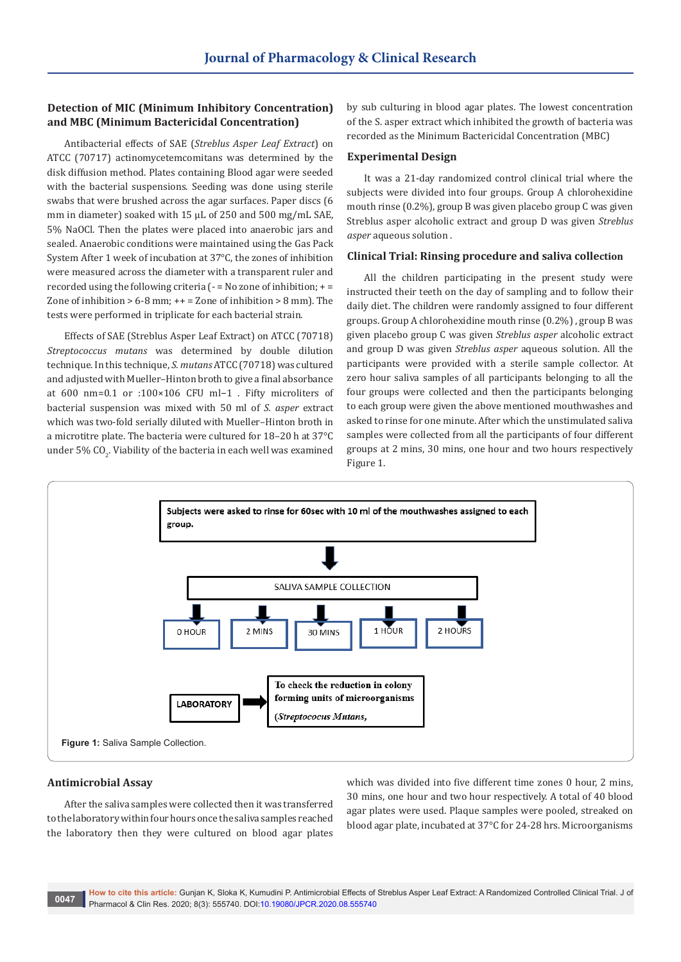# **Detection of MIC (Minimum Inhibitory Concentration) and MBC (Minimum Bactericidal Concentration)**

Antibacterial effects of SAE (*Streblus Asper Leaf Extract*) on ATCC (70717) actinomycetemcomitans was determined by the disk diffusion method. Plates containing Blood agar were seeded with the bacterial suspensions. Seeding was done using sterile swabs that were brushed across the agar surfaces. Paper discs (6 mm in diameter) soaked with 15 μL of 250 and 500 mg/mL SAE, 5% NaOCl. Then the plates were placed into anaerobic jars and sealed. Anaerobic conditions were maintained using the Gas Pack System After 1 week of incubation at 37°C, the zones of inhibition were measured across the diameter with a transparent ruler and recorded using the following criteria (- = No zone of inhibition; + = Zone of inhibition  $> 6-8$  mm;  $++ =$  Zone of inhibition  $> 8$  mm). The tests were performed in triplicate for each bacterial strain.

Effects of SAE (Streblus Asper Leaf Extract) on ATCC (70718) *Streptococcus mutans* was determined by double dilution technique. In this technique, *S. mutans* ATCC (70718) was cultured and adjusted with Mueller–Hinton broth to give a final absorbance at 600 nm=0.1 or :100×106 CFU ml−1 . Fifty microliters of bacterial suspension was mixed with 50 ml of *S. asper* extract which was two-fold serially diluted with Mueller–Hinton broth in a microtitre plate. The bacteria were cultured for 18–20 h at 37°C under 5% CO $_2$ . Viability of the bacteria in each well was examined by sub culturing in blood agar plates. The lowest concentration of the S. asper extract which inhibited the growth of bacteria was recorded as the Minimum Bactericidal Concentration (MBC)

#### **Experimental Design**

It was a 21-day randomized control clinical trial where the subjects were divided into four groups. Group A chlorohexidine mouth rinse (0.2%), group B was given placebo group C was given Streblus asper alcoholic extract and group D was given *Streblus asper* aqueous solution .

## **Clinical Trial: Rinsing procedure and saliva collection**

All the children participating in the present study were instructed their teeth on the day of sampling and to follow their daily diet. The children were randomly assigned to four different groups. Group A chlorohexidine mouth rinse (0.2%) , group B was given placebo group C was given *Streblus asper* alcoholic extract and group D was given *Streblus asper* aqueous solution. All the participants were provided with a sterile sample collector. At zero hour saliva samples of all participants belonging to all the four groups were collected and then the participants belonging to each group were given the above mentioned mouthwashes and asked to rinse for one minute. After which the unstimulated saliva samples were collected from all the participants of four different groups at 2 mins, 30 mins, one hour and two hours respectively Figure 1.



## **Antimicrobial Assay**

After the saliva samples were collected then it was transferred to the laboratory within four hours once the saliva samples reached the laboratory then they were cultured on blood agar plates

which was divided into five different time zones 0 hour, 2 mins, 30 mins, one hour and two hour respectively. A total of 40 blood agar plates were used. Plaque samples were pooled, streaked on blood agar plate, incubated at 37°C for 24-28 hrs. Microorganisms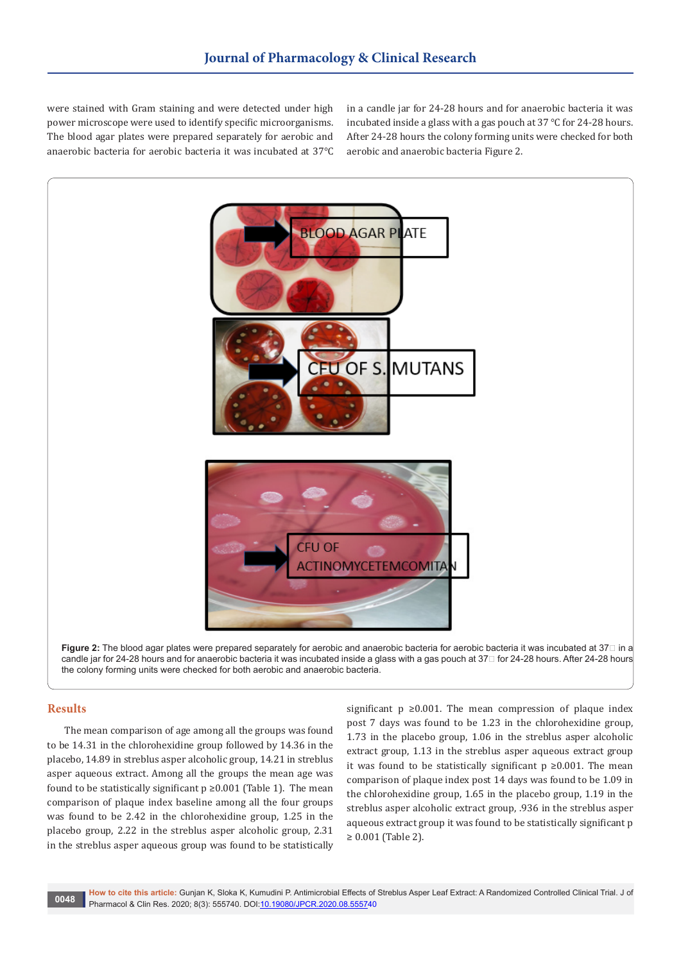were stained with Gram staining and were detected under high power microscope were used to identify specific microorganisms. The blood agar plates were prepared separately for aerobic and anaerobic bacteria for aerobic bacteria it was incubated at 37℃ in a candle jar for 24-28 hours and for anaerobic bacteria it was incubated inside a glass with a gas pouch at 37 ℃ for 24-28 hours. After 24-28 hours the colony forming units were checked for both aerobic and anaerobic bacteria Figure 2.



**Figure 2:** The blood agar plates were prepared separately for aerobic and anaerobic bacteria for aerobic bacteria it was incubated at 37□ in a candle jar for 24-28 hours and for anaerobic bacteria it was incubated inside a glass with a gas pouch at 37℃ for 24-28 hours. After 24-28 hours the colony forming units were checked for both aerobic and anaerobic bacteria.

# **Results**

The mean comparison of age among all the groups was found to be 14.31 in the chlorohexidine group followed by 14.36 in the placebo, 14.89 in streblus asper alcoholic group, 14.21 in streblus asper aqueous extract. Among all the groups the mean age was found to be statistically significant  $p \ge 0.001$  (Table 1). The mean comparison of plaque index baseline among all the four groups was found to be 2.42 in the chlorohexidine group, 1.25 in the placebo group, 2.22 in the streblus asper alcoholic group, 2.31 in the streblus asper aqueous group was found to be statistically

significant  $p \ge 0.001$ . The mean compression of plaque index post 7 days was found to be 1.23 in the chlorohexidine group, 1.73 in the placebo group, 1.06 in the streblus asper alcoholic extract group, 1.13 in the streblus asper aqueous extract group it was found to be statistically significant  $p ≥ 0.001$ . The mean comparison of plaque index post 14 days was found to be 1.09 in the chlorohexidine group, 1.65 in the placebo group, 1.19 in the streblus asper alcoholic extract group, .936 in the streblus asper aqueous extract group it was found to be statistically significant p ≥ 0.001 (Table 2).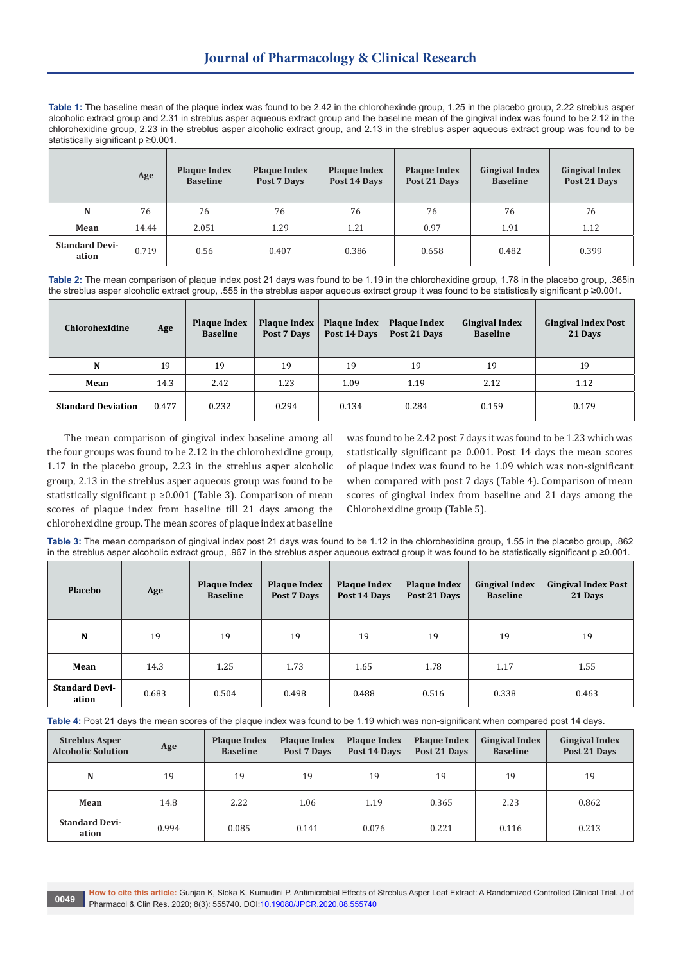**Table 1:** The baseline mean of the plaque index was found to be 2.42 in the chlorohexinde group, 1.25 in the placebo group, 2.22 streblus asper alcoholic extract group and 2.31 in streblus asper aqueous extract group and the baseline mean of the gingival index was found to be 2.12 in the chlorohexidine group, 2.23 in the streblus asper alcoholic extract group, and 2.13 in the streblus asper aqueous extract group was found to be statistically significant p ≥0.001.

|                                | Age   | <b>Plaque Index</b><br><b>Baseline</b> | <b>Plaque Index</b><br>Post 7 Days | <b>Plaque Index</b><br>Post 14 Days | <b>Plaque Index</b><br>Post 21 Days | <b>Gingival Index</b><br><b>Baseline</b> | <b>Gingival Index</b><br>Post 21 Days |
|--------------------------------|-------|----------------------------------------|------------------------------------|-------------------------------------|-------------------------------------|------------------------------------------|---------------------------------------|
| N                              | 76    | 76                                     | 76                                 | 76                                  | 76                                  | 76                                       | 76                                    |
| Mean                           | 14.44 | 2.051                                  | 1.29                               | 1.21                                | 0.97                                | 1.91                                     | 1.12                                  |
| <b>Standard Devi-</b><br>ation | 0.719 | 0.56                                   | 0.407                              | 0.386                               | 0.658                               | 0.482                                    | 0.399                                 |

**Table 2:** The mean comparison of plaque index post 21 days was found to be 1.19 in the chlorohexidine group, 1.78 in the placebo group, .365in the streblus asper alcoholic extract group, .555 in the streblus asper aqueous extract group it was found to be statistically significant p ≥0.001.

| Chlorohexidine            | Age   | <b>Plaque Index</b><br><b>Baseline</b> | <b>Plaque Index</b><br>Post 7 Days | <b>Plaque Index</b><br>Post 14 Days | <b>Plaque Index</b><br>Post 21 Days | <b>Gingival Index</b><br><b>Baseline</b> | <b>Gingival Index Post</b><br>21 Days |
|---------------------------|-------|----------------------------------------|------------------------------------|-------------------------------------|-------------------------------------|------------------------------------------|---------------------------------------|
| N                         | 19    | 19                                     | 19                                 | 19                                  | 19                                  | 19                                       | 19                                    |
| Mean                      | 14.3  | 2.42                                   | 1.23                               | 1.09                                | 1.19                                | 2.12                                     | 1.12                                  |
| <b>Standard Deviation</b> | 0.477 | 0.232                                  | 0.294                              | 0.134                               | 0.284                               | 0.159                                    | 0.179                                 |

The mean comparison of gingival index baseline among all the four groups was found to be 2.12 in the chlorohexidine group, 1.17 in the placebo group, 2.23 in the streblus asper alcoholic group, 2.13 in the streblus asper aqueous group was found to be statistically significant p ≥0.001 (Table 3). Comparison of mean scores of plaque index from baseline till 21 days among the chlorohexidine group. The mean scores of plaque index at baseline

was found to be 2.42 post 7 days it was found to be 1.23 which was statistically significant p≥ 0.001. Post 14 days the mean scores of plaque index was found to be 1.09 which was non-significant when compared with post 7 days (Table 4). Comparison of mean scores of gingival index from baseline and 21 days among the Chlorohexidine group (Table 5).

**Table 3:** The mean comparison of gingival index post 21 days was found to be 1.12 in the chlorohexidine group, 1.55 in the placebo group, .862 in the streblus asper alcoholic extract group, .967 in the streblus asper aqueous extract group it was found to be statistically significant p ≥0.001.

| Placebo                        | Age   | <b>Plaque Index</b><br><b>Baseline</b> | <b>Plaque Index</b><br>Post 7 Days | <b>Plaque Index</b><br>Post 14 Days | <b>Plaque Index</b><br>Post 21 Days | <b>Gingival Index</b><br><b>Baseline</b> | <b>Gingival Index Post</b><br>21 Days |
|--------------------------------|-------|----------------------------------------|------------------------------------|-------------------------------------|-------------------------------------|------------------------------------------|---------------------------------------|
| N                              | 19    | 19                                     | 19                                 | 19                                  | 19                                  | 19                                       | 19                                    |
| Mean                           | 14.3  | 1.25                                   | 1.73                               | 1.65                                | 1.78                                | 1.17                                     | 1.55                                  |
| <b>Standard Devi-</b><br>ation | 0.683 | 0.504                                  | 0.498                              | 0.488                               | 0.516                               | 0.338                                    | 0.463                                 |

**Table 4:** Post 21 days the mean scores of the plaque index was found to be 1.19 which was non-significant when compared post 14 days.

| <b>Streblus Asper</b><br><b>Alcoholic Solution</b> | Age   | <b>Plaque Index</b><br><b>Baseline</b> | <b>Plaque Index</b><br>Post 7 Days | <b>Plaque Index</b><br>Post 14 Days | <b>Plaque Index</b><br>Post 21 Days | <b>Gingival Index</b><br><b>Baseline</b> | <b>Gingival Index</b><br>Post 21 Days |
|----------------------------------------------------|-------|----------------------------------------|------------------------------------|-------------------------------------|-------------------------------------|------------------------------------------|---------------------------------------|
| N                                                  | 19    | 19                                     | 19                                 | 19                                  | 19                                  | 19                                       | 19                                    |
| Mean                                               | 14.8  | 2.22                                   | 1.06                               | 1.19                                | 0.365                               | 2.23                                     | 0.862                                 |
| <b>Standard Devi-</b><br>ation                     | 0.994 | 0.085                                  | 0.141                              | 0.076                               | 0.221                               | 0.116                                    | 0.213                                 |

**How to cite this article:** Gunjan K, Sloka K, Kumudini P. Antimicrobial Effects of Streblus Asper Leaf Extract: A Randomized Controlled Clinical Trial. J of Pharmacol & Clin Res. 2020; 8(3): 555740. DOI:[10.19080/JPCR.2020.08.55574](http://dx.doi.org/10.19080/JPCR.2020.08.555740)0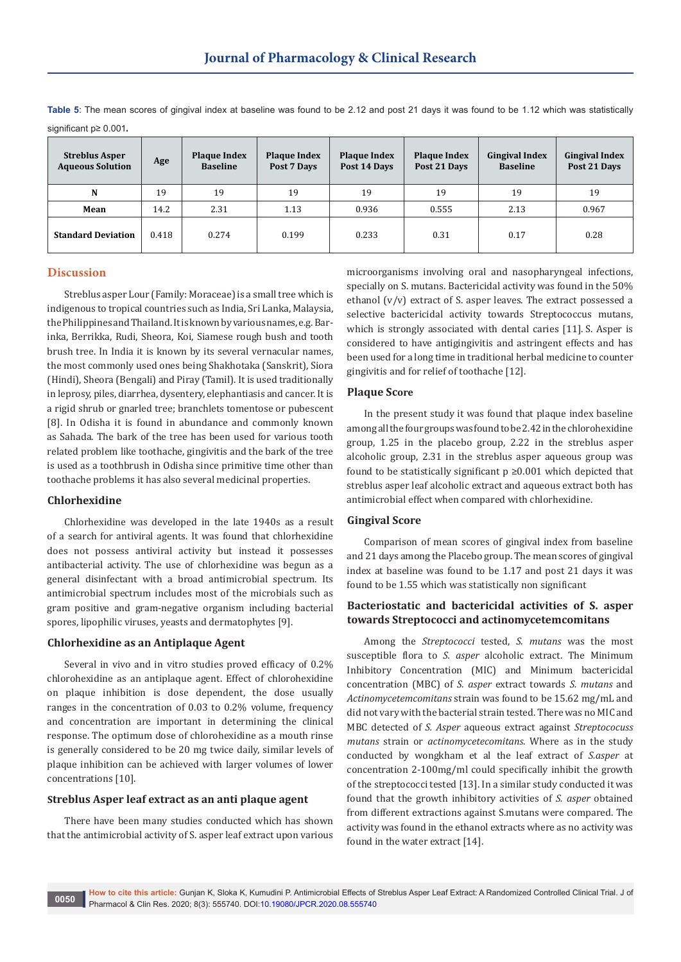significant p≥ 0.001. **Streblus Asper Age Plaque Index**<br>**Aqueous Solution Age Plaque Index Baseline Baseline Plaque Index Post 7 Days Plaque Index Post 14 Days Plaque Index Post 21 Days Gingival Index Baseline Gingival Index Post 21 Days**

**N** 19 19 19 19 19 19 19 19 19 19 **Mean** | 14.2 | 2.31 | 1.13 | 0.936 | 0.555 | 2.13 | 0.967

**Standard Deviation** | 0.418 | 0.274 | 0.199 | 0.233 | 0.31 | 0.17 | 0.28

**Table 5**: The mean scores of gingival index at baseline was found to be 2.12 and post 21 days it was found to be 1.12 which was statistically

# **Discussion**

Streblus asper Lour (Family: Moraceae) is a small tree which is indigenous to tropical countries such as India, Sri Lanka, Malaysia, the Philippines and Thailand. It is known by various names, e.g. Barinka, Berrikka, Rudi, Sheora, Koi, Siamese rough bush and tooth brush tree. In India it is known by its several vernacular names, the most commonly used ones being Shakhotaka (Sanskrit), Siora (Hindi), Sheora (Bengali) and Piray (Tamil). It is used traditionally in leprosy, piles, diarrhea, dysentery, elephantiasis and cancer. It is a rigid shrub or gnarled tree; branchlets tomentose or pubescent [8]. In Odisha it is found in abundance and commonly known as Sahada. The bark of the tree has been used for various tooth related problem like toothache, gingivitis and the bark of the tree is used as a toothbrush in Odisha since primitive time other than toothache problems it has also several medicinal properties.

#### **Chlorhexidine**

Chlorhexidine was developed in the late 1940s as a result of a search for antiviral agents. It was found that chlorhexidine does not possess antiviral activity but instead it possesses antibacterial activity. The use of chlorhexidine was begun as a general disinfectant with a broad antimicrobial spectrum. Its antimicrobial spectrum includes most of the microbials such as gram positive and gram-negative organism including bacterial spores, lipophilic viruses, yeasts and dermatophytes [9].

## **Chlorhexidine as an Antiplaque Agent**

Several in vivo and in vitro studies proved efficacy of 0.2% chlorohexidine as an antiplaque agent. Effect of chlorohexidine on plaque inhibition is dose dependent, the dose usually ranges in the concentration of 0.03 to 0.2% volume, frequency and concentration are important in determining the clinical response. The optimum dose of chlorohexidine as a mouth rinse is generally considered to be 20 mg twice daily, similar levels of plaque inhibition can be achieved with larger volumes of lower concentrations [10].

#### **Streblus Asper leaf extract as an anti plaque agent**

There have been many studies conducted which has shown that the antimicrobial activity of S. asper leaf extract upon various microorganisms involving oral and nasopharyngeal infections, specially on S. mutans. Bactericidal activity was found in the 50% ethanol  $(v/v)$  extract of S. asper leaves. The extract possessed a selective bactericidal activity towards Streptococcus mutans, which is strongly associated with dental caries [11]. S. Asper is considered to have antigingivitis and astringent effects and has been used for a long time in traditional herbal medicine to counter gingivitis and for relief of toothache [12].

#### **Plaque Score**

In the present study it was found that plaque index baseline among all the four groups was found to be 2.42 in the chlorohexidine group, 1.25 in the placebo group, 2.22 in the streblus asper alcoholic group, 2.31 in the streblus asper aqueous group was found to be statistically significant  $p \ge 0.001$  which depicted that streblus asper leaf alcoholic extract and aqueous extract both has antimicrobial effect when compared with chlorhexidine.

## **Gingival Score**

Comparison of mean scores of gingival index from baseline and 21 days among the Placebo group. The mean scores of gingival index at baseline was found to be 1.17 and post 21 days it was found to be 1.55 which was statistically non significant

# **Bacteriostatic and bactericidal activities of S. asper towards Streptococci and actinomycetemcomitans**

Among the *Streptococci* tested, *S. mutans* was the most susceptible flora to *S. asper* alcoholic extract. The Minimum Inhibitory Concentration (MIC) and Minimum bactericidal concentration (MBC) of *S. asper* extract towards *S. mutans* and *Actinomycetemcomitans* strain was found to be 15.62 mg/mL and did not vary with the bacterial strain tested. There was no MIC and MBC detected of *S. Asper* aqueous extract against *Streptococuss mutans* strain or *actinomycetecomitans*. Where as in the study conducted by wongkham et al the leaf extract of *S.asper* at concentration 2-100mg/ml could specifically inhibit the growth of the streptococci tested [13]. In a similar study conducted it was found that the growth inhibitory activities of *S. asper* obtained from different extractions against S.mutans were compared. The activity was found in the ethanol extracts where as no activity was found in the water extract [14].